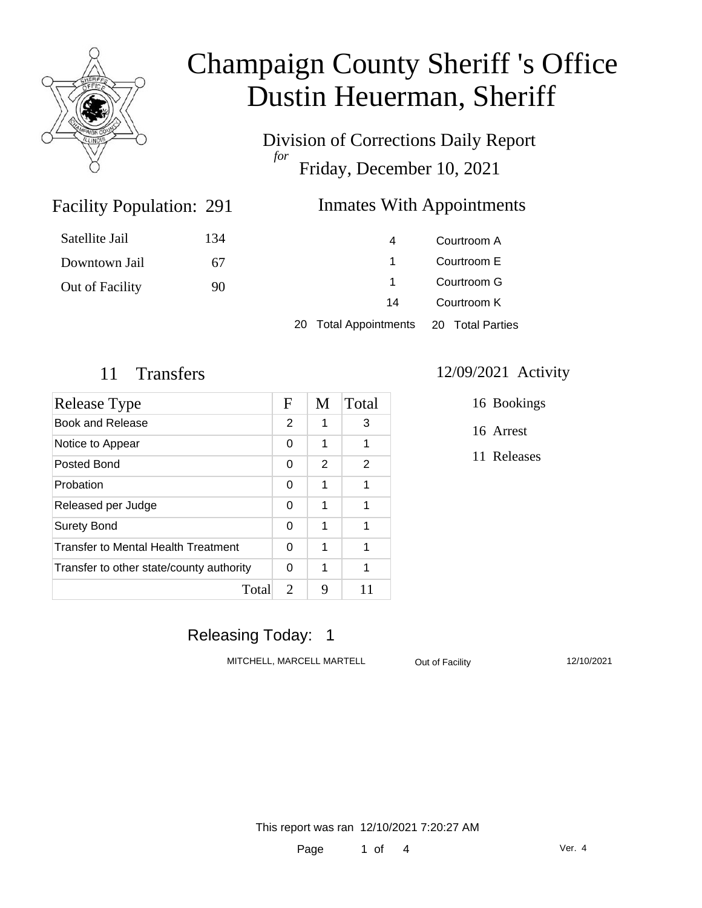

Division of Corrections Daily Report *for* Friday, December 10, 2021

#### Facility Population: 291

### Inmates With Appointments

| Satellite Jail  | 134 | 4                     | Courtroom A      |  |
|-----------------|-----|-----------------------|------------------|--|
| Downtown Jail   | 67  |                       | Courtroom E      |  |
| Out of Facility | 90  |                       | Courtroom G      |  |
|                 |     | 14                    | Courtroom K      |  |
|                 |     | 20 Total Appointments | 20 Total Parties |  |

| Release Type                               |   | M | Total |
|--------------------------------------------|---|---|-------|
| Book and Release                           | 2 | 1 | 3     |
| Notice to Appear                           | 0 | 1 | 1     |
| Posted Bond                                | 0 | 2 | 2     |
| Probation                                  | 0 | 1 | 1     |
| Released per Judge                         | 0 | 1 | 1     |
| <b>Surety Bond</b>                         | 0 | 1 | 1     |
| <b>Transfer to Mental Health Treatment</b> |   | 1 | 1     |
| Transfer to other state/county authority   |   | 1 | 1     |
| Total                                      | 2 | 9 | 11    |

#### 11 Transfers 12/09/2021 Activity

16 Bookings

16 Arrest

11 Releases

### Releasing Today: 1

MITCHELL, MARCELL MARTELL Out of Facility 12/10/2021

This report was ran 12/10/2021 7:20:27 AM

Page 1 of 4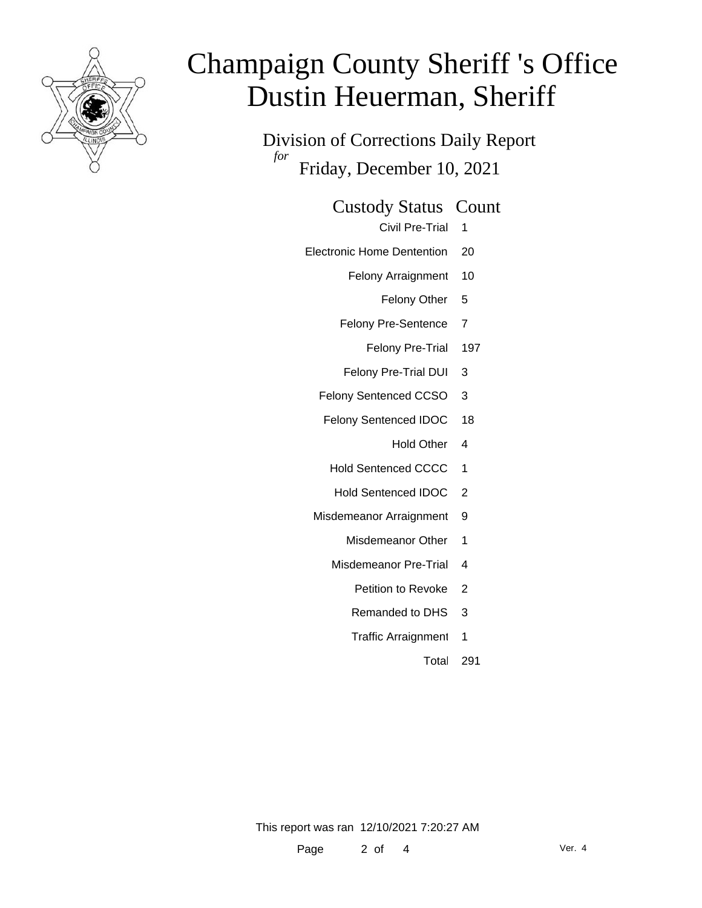

Division of Corrections Daily Report *for* Friday, December 10, 2021

Custody Status Count

Civil Pre-Trial 1

- Electronic Home Dentention 20
	- Felony Arraignment 10

Felony Other 5

- Felony Pre-Sentence 7
	- Felony Pre-Trial 197
- Felony Pre-Trial DUI 3
- Felony Sentenced CCSO 3
- Felony Sentenced IDOC 18
	- Hold Other 4
	- Hold Sentenced CCCC 1
	- Hold Sentenced IDOC 2
- Misdemeanor Arraignment 9
	- Misdemeanor Other 1
	- Misdemeanor Pre-Trial 4
		- Petition to Revoke 2
		- Remanded to DHS 3
		- Traffic Arraignment 1

Total 291

This report was ran 12/10/2021 7:20:27 AM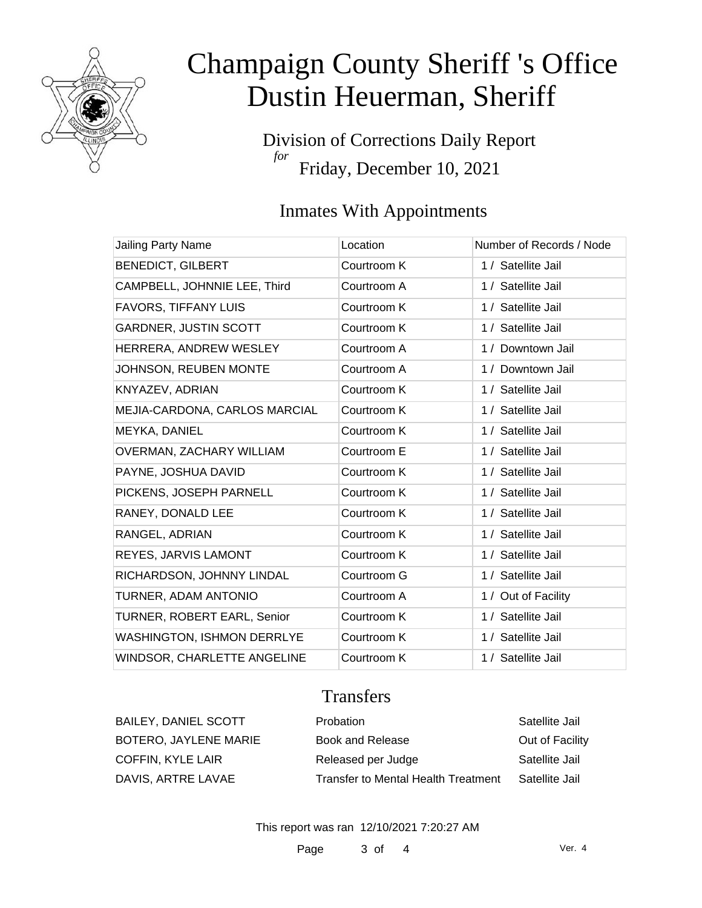

Division of Corrections Daily Report *for* Friday, December 10, 2021

### Inmates With Appointments

| <b>Jailing Party Name</b>         | Location    | Number of Records / Node |
|-----------------------------------|-------------|--------------------------|
| <b>BENEDICT, GILBERT</b>          | Courtroom K | 1 / Satellite Jail       |
| CAMPBELL, JOHNNIE LEE, Third      | Courtroom A | 1 / Satellite Jail       |
| <b>FAVORS, TIFFANY LUIS</b>       | Courtroom K | 1 / Satellite Jail       |
| <b>GARDNER, JUSTIN SCOTT</b>      | Courtroom K | 1 / Satellite Jail       |
| HERRERA, ANDREW WESLEY            | Courtroom A | 1 / Downtown Jail        |
| JOHNSON, REUBEN MONTE             | Courtroom A | 1 / Downtown Jail        |
| KNYAZEV, ADRIAN                   | Courtroom K | 1 / Satellite Jail       |
| MEJIA-CARDONA, CARLOS MARCIAL     | Courtroom K | 1 / Satellite Jail       |
| MEYKA, DANIEL                     | Courtroom K | 1 / Satellite Jail       |
| OVERMAN, ZACHARY WILLIAM          | Courtroom E | 1 / Satellite Jail       |
| PAYNE, JOSHUA DAVID               | Courtroom K | 1 / Satellite Jail       |
| PICKENS, JOSEPH PARNELL           | Courtroom K | 1 / Satellite Jail       |
| RANEY, DONALD LEE                 | Courtroom K | 1 / Satellite Jail       |
| RANGEL, ADRIAN                    | Courtroom K | 1 / Satellite Jail       |
| REYES, JARVIS LAMONT              | Courtroom K | 1 / Satellite Jail       |
| RICHARDSON, JOHNNY LINDAL         | Courtroom G | 1 / Satellite Jail       |
| TURNER, ADAM ANTONIO              | Courtroom A | 1 / Out of Facility      |
| TURNER, ROBERT EARL, Senior       | Courtroom K | 1 / Satellite Jail       |
| <b>WASHINGTON, ISHMON DERRLYE</b> | Courtroom K | 1 / Satellite Jail       |
| WINDSOR, CHARLETTE ANGELINE       | Courtroom K | 1 / Satellite Jail       |

### **Transfers**

BAILEY, DANIEL SCOTT Probation Probation Satellite Jail BOTERO, JAYLENE MARIE Book and Release **Book and Helease** Out of Facility COFFIN, KYLE LAIR **Released per Judge** Satellite Jail DAVIS, ARTRE LAVAE Transfer to Mental Health Treatment Satellite Jail

This report was ran 12/10/2021 7:20:27 AM